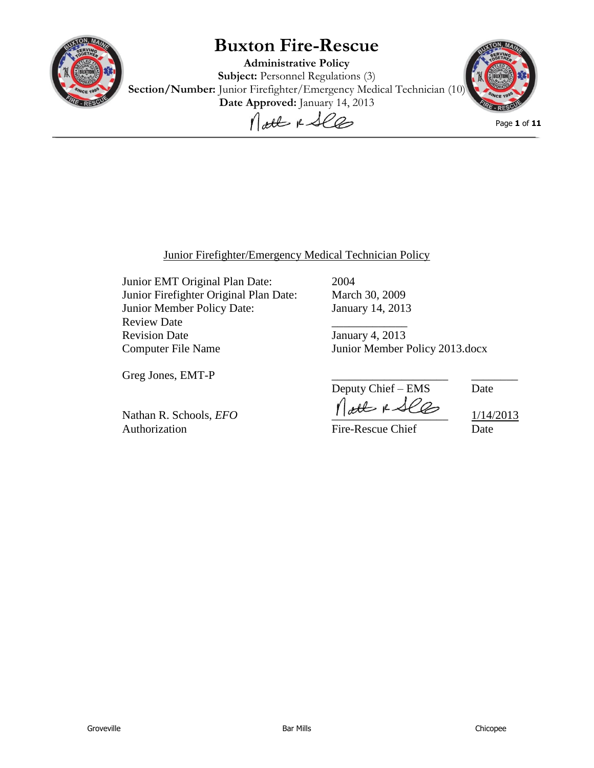

# **Buxton Fire-Rescue**

**Administrative Policy Subject:** Personnel Regulations (3) **Section/Number:** Junior Firefighter/Emergency Medical Technician (10) Date Approved: January 14, 2013



Page **1** of **11**

### Junior Firefighter/Emergency Medical Technician Policy

Junior EMT Original Plan Date: 2004 Junior Firefighter Original Plan Date: March 30, 2009 Junior Member Policy Date: January 14, 2013 Review Date Revision Date January 4, 2013 Computer File Name Junior Member Policy 2013.docx

Greg Jones, EMT-P

Authorization **Fire-Rescue Chief** Date

Deputy Chief – EMS Date Nathan R. Schools, *EFO*  $\bigcap_{\alpha \in \mathbb{C}} \mathbb{C}$   $\downarrow \mathcal{L} \mathbb{C}$   $\downarrow$  1/14/2013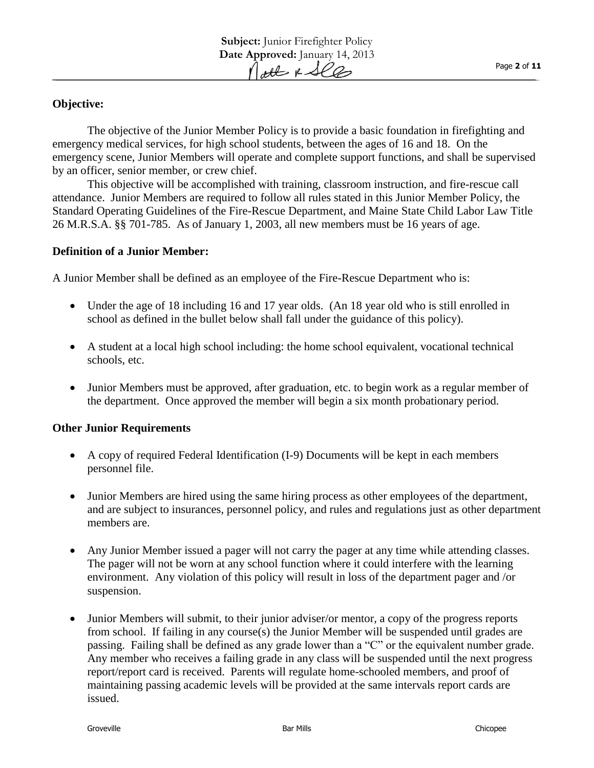## **Objective:**

The objective of the Junior Member Policy is to provide a basic foundation in firefighting and emergency medical services, for high school students, between the ages of 16 and 18. On the emergency scene, Junior Members will operate and complete support functions, and shall be supervised by an officer, senior member, or crew chief.

This objective will be accomplished with training, classroom instruction, and fire-rescue call attendance. Junior Members are required to follow all rules stated in this Junior Member Policy, the Standard Operating Guidelines of the Fire-Rescue Department, and Maine State Child Labor Law Title 26 M.R.S.A. §§ 701-785. As of January 1, 2003, all new members must be 16 years of age.

#### **Definition of a Junior Member:**

A Junior Member shall be defined as an employee of the Fire-Rescue Department who is:

- Under the age of 18 including 16 and 17 year olds. (An 18 year old who is still enrolled in school as defined in the bullet below shall fall under the guidance of this policy).
- A student at a local high school including: the home school equivalent, vocational technical schools, etc.
- Junior Members must be approved, after graduation, etc. to begin work as a regular member of the department. Once approved the member will begin a six month probationary period.

#### **Other Junior Requirements**

- A copy of required Federal Identification (I-9) Documents will be kept in each members personnel file.
- Junior Members are hired using the same hiring process as other employees of the department, and are subject to insurances, personnel policy, and rules and regulations just as other department members are.
- Any Junior Member issued a pager will not carry the pager at any time while attending classes. The pager will not be worn at any school function where it could interfere with the learning environment. Any violation of this policy will result in loss of the department pager and /or suspension.
- Junior Members will submit, to their junior adviser/or mentor, a copy of the progress reports from school. If failing in any course(s) the Junior Member will be suspended until grades are passing. Failing shall be defined as any grade lower than a "C" or the equivalent number grade. Any member who receives a failing grade in any class will be suspended until the next progress report/report card is received. Parents will regulate home-schooled members, and proof of maintaining passing academic levels will be provided at the same intervals report cards are issued.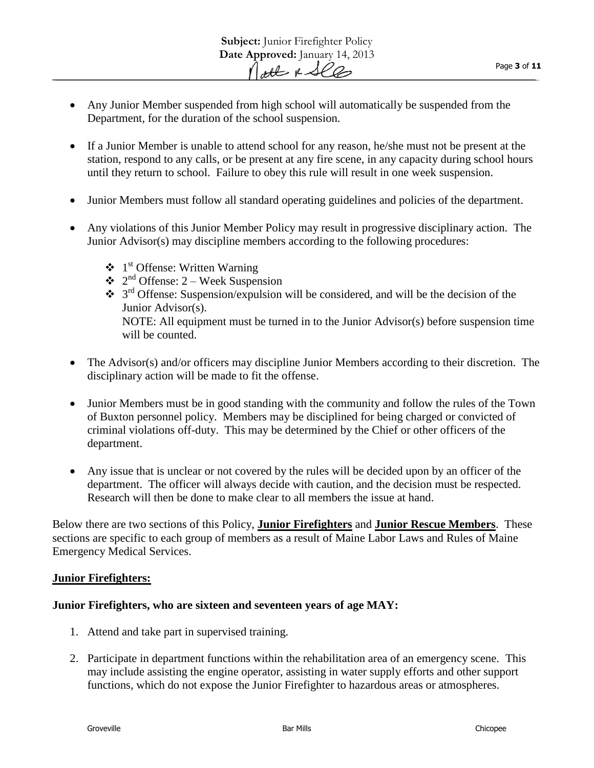- Any Junior Member suspended from high school will automatically be suspended from the Department, for the duration of the school suspension.
- If a Junior Member is unable to attend school for any reason, he/she must not be present at the station, respond to any calls, or be present at any fire scene, in any capacity during school hours until they return to school. Failure to obey this rule will result in one week suspension.
- Junior Members must follow all standard operating guidelines and policies of the department.
- Any violations of this Junior Member Policy may result in progressive disciplinary action. The Junior Advisor(s) may discipline members according to the following procedures:
	- $\triangleleft$  1<sup>st</sup> Offense: Written Warning
	- $\triangleleft$  2<sup>nd</sup> Offense: 2 Week Suspension
	- $\cdot$  3<sup>rd</sup> Offense: Suspension/expulsion will be considered, and will be the decision of the Junior Advisor(s). NOTE: All equipment must be turned in to the Junior Advisor(s) before suspension time will be counted.
- The Advisor(s) and/or officers may discipline Junior Members according to their discretion. The disciplinary action will be made to fit the offense.
- Junior Members must be in good standing with the community and follow the rules of the Town of Buxton personnel policy. Members may be disciplined for being charged or convicted of criminal violations off-duty. This may be determined by the Chief or other officers of the department.
- Any issue that is unclear or not covered by the rules will be decided upon by an officer of the department. The officer will always decide with caution, and the decision must be respected. Research will then be done to make clear to all members the issue at hand.

Below there are two sections of this Policy, **Junior Firefighters** and **Junior Rescue Members**. These sections are specific to each group of members as a result of Maine Labor Laws and Rules of Maine Emergency Medical Services.

### **Junior Firefighters:**

### **Junior Firefighters, who are sixteen and seventeen years of age MAY:**

- 1. Attend and take part in supervised training.
- 2. Participate in department functions within the rehabilitation area of an emergency scene. This may include assisting the engine operator, assisting in water supply efforts and other support functions, which do not expose the Junior Firefighter to hazardous areas or atmospheres.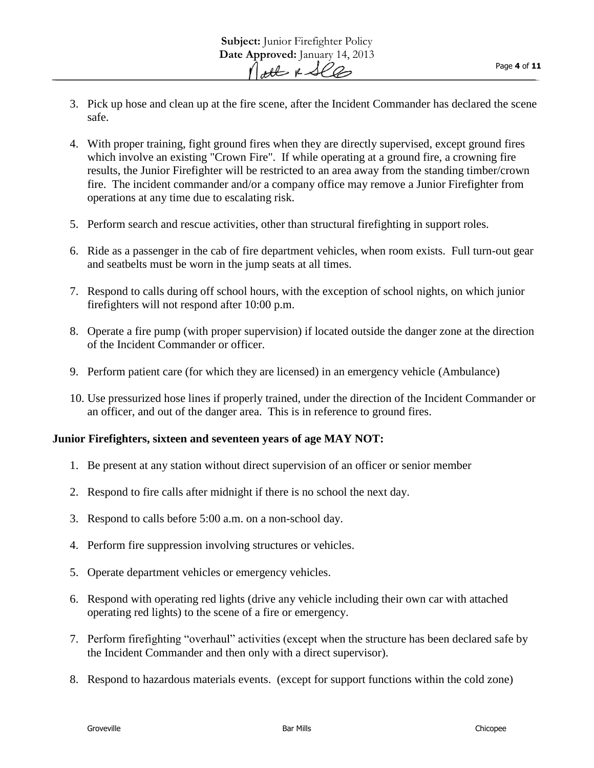- 3. Pick up hose and clean up at the fire scene, after the Incident Commander has declared the scene safe.
- 4. With proper training, fight ground fires when they are directly supervised, except ground fires which involve an existing "Crown Fire". If while operating at a ground fire, a crowning fire results, the Junior Firefighter will be restricted to an area away from the standing timber/crown fire. The incident commander and/or a company office may remove a Junior Firefighter from operations at any time due to escalating risk.
- 5. Perform search and rescue activities, other than structural firefighting in support roles.
- 6. Ride as a passenger in the cab of fire department vehicles, when room exists. Full turn-out gear and seatbelts must be worn in the jump seats at all times.
- 7. Respond to calls during off school hours, with the exception of school nights, on which junior firefighters will not respond after 10:00 p.m.
- 8. Operate a fire pump (with proper supervision) if located outside the danger zone at the direction of the Incident Commander or officer.
- 9. Perform patient care (for which they are licensed) in an emergency vehicle (Ambulance)
- 10. Use pressurized hose lines if properly trained, under the direction of the Incident Commander or an officer, and out of the danger area. This is in reference to ground fires.

### **Junior Firefighters, sixteen and seventeen years of age MAY NOT:**

- 1. Be present at any station without direct supervision of an officer or senior member
- 2. Respond to fire calls after midnight if there is no school the next day.
- 3. Respond to calls before 5:00 a.m. on a non-school day.
- 4. Perform fire suppression involving structures or vehicles.
- 5. Operate department vehicles or emergency vehicles.
- 6. Respond with operating red lights (drive any vehicle including their own car with attached operating red lights) to the scene of a fire or emergency.
- 7. Perform firefighting "overhaul" activities (except when the structure has been declared safe by the Incident Commander and then only with a direct supervisor).
- 8. Respond to hazardous materials events. (except for support functions within the cold zone)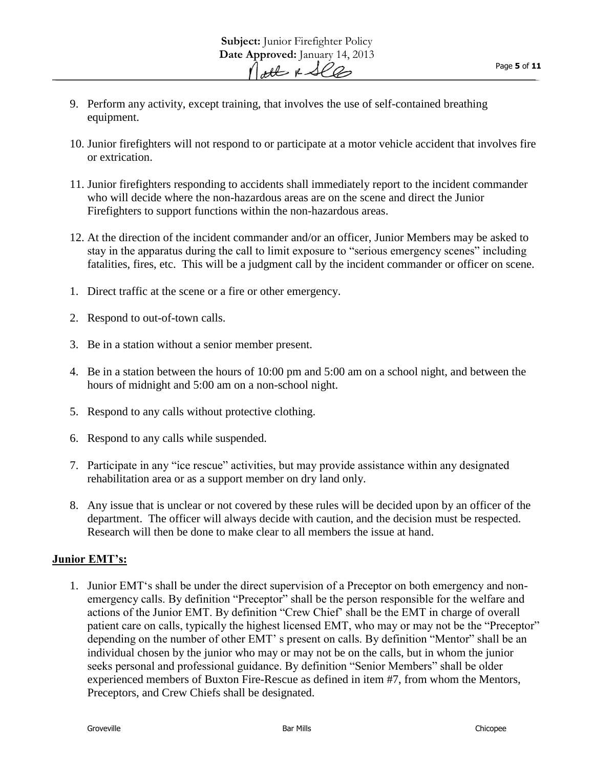- 9. Perform any activity, except training, that involves the use of self-contained breathing equipment.
- 10. Junior firefighters will not respond to or participate at a motor vehicle accident that involves fire or extrication.
- 11. Junior firefighters responding to accidents shall immediately report to the incident commander who will decide where the non-hazardous areas are on the scene and direct the Junior Firefighters to support functions within the non-hazardous areas.
- 12. At the direction of the incident commander and/or an officer, Junior Members may be asked to stay in the apparatus during the call to limit exposure to "serious emergency scenes" including fatalities, fires, etc. This will be a judgment call by the incident commander or officer on scene.
- 1. Direct traffic at the scene or a fire or other emergency.
- 2. Respond to out-of-town calls.
- 3. Be in a station without a senior member present.
- 4. Be in a station between the hours of 10:00 pm and 5:00 am on a school night, and between the hours of midnight and 5:00 am on a non-school night.
- 5. Respond to any calls without protective clothing.
- 6. Respond to any calls while suspended.
- 7. Participate in any "ice rescue" activities, but may provide assistance within any designated rehabilitation area or as a support member on dry land only.
- 8. Any issue that is unclear or not covered by these rules will be decided upon by an officer of the department. The officer will always decide with caution, and the decision must be respected. Research will then be done to make clear to all members the issue at hand.

### **Junior EMT's:**

1. Junior EMT's shall be under the direct supervision of a Preceptor on both emergency and nonemergency calls. By definition "Preceptor" shall be the person responsible for the welfare and actions of the Junior EMT. By definition "Crew Chief' shall be the EMT in charge of overall patient care on calls, typically the highest licensed EMT, who may or may not be the "Preceptor" depending on the number of other EMT' s present on calls. By definition "Mentor" shall be an individual chosen by the junior who may or may not be on the calls, but in whom the junior seeks personal and professional guidance. By definition "Senior Members" shall be older experienced members of Buxton Fire-Rescue as defined in item #7, from whom the Mentors, Preceptors, and Crew Chiefs shall be designated.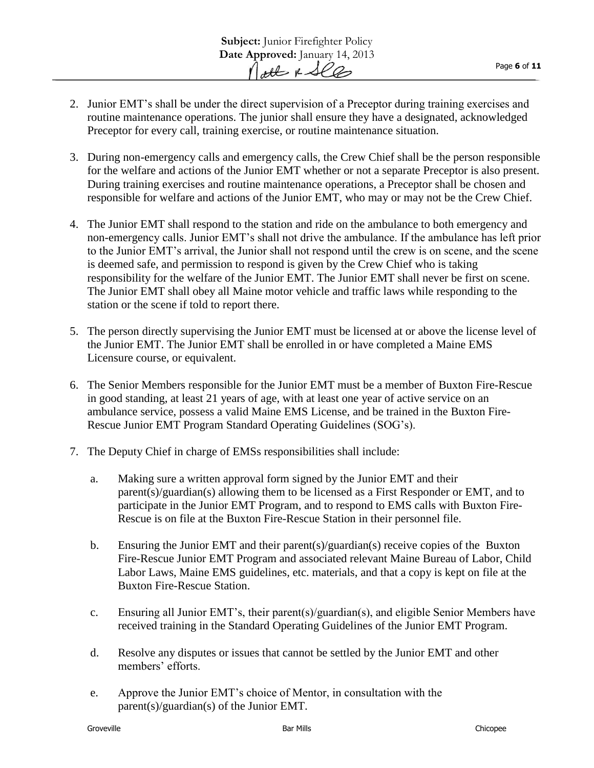- 2. Junior EMT's shall be under the direct supervision of a Preceptor during training exercises and routine maintenance operations. The junior shall ensure they have a designated, acknowledged Preceptor for every call, training exercise, or routine maintenance situation.
- 3. During non-emergency calls and emergency calls, the Crew Chief shall be the person responsible for the welfare and actions of the Junior EMT whether or not a separate Preceptor is also present. During training exercises and routine maintenance operations, a Preceptor shall be chosen and responsible for welfare and actions of the Junior EMT, who may or may not be the Crew Chief.
- 4. The Junior EMT shall respond to the station and ride on the ambulance to both emergency and non-emergency calls. Junior EMT's shall not drive the ambulance. If the ambulance has left prior to the Junior EMT's arrival, the Junior shall not respond until the crew is on scene, and the scene is deemed safe, and permission to respond is given by the Crew Chief who is taking responsibility for the welfare of the Junior EMT. The Junior EMT shall never be first on scene. The Junior EMT shall obey all Maine motor vehicle and traffic laws while responding to the station or the scene if told to report there.
- 5. The person directly supervising the Junior EMT must be licensed at or above the license level of the Junior EMT. The Junior EMT shall be enrolled in or have completed a Maine EMS Licensure course, or equivalent.
- 6. The Senior Members responsible for the Junior EMT must be a member of Buxton Fire-Rescue in good standing, at least 21 years of age, with at least one year of active service on an ambulance service, possess a valid Maine EMS License, and be trained in the Buxton Fire-Rescue Junior EMT Program Standard Operating Guidelines (SOG's).
- 7. The Deputy Chief in charge of EMSs responsibilities shall include:
	- a. Making sure a written approval form signed by the Junior EMT and their parent(s)/guardian(s) allowing them to be licensed as a First Responder or EMT, and to participate in the Junior EMT Program, and to respond to EMS calls with Buxton Fire-Rescue is on file at the Buxton Fire-Rescue Station in their personnel file.
	- b. Ensuring the Junior EMT and their parent(s)/guardian(s) receive copies of the Buxton Fire-Rescue Junior EMT Program and associated relevant Maine Bureau of Labor, Child Labor Laws, Maine EMS guidelines, etc. materials, and that a copy is kept on file at the Buxton Fire-Rescue Station.
	- c. Ensuring all Junior EMT's, their parent(s)/guardian(s), and eligible Senior Members have received training in the Standard Operating Guidelines of the Junior EMT Program.
	- d. Resolve any disputes or issues that cannot be settled by the Junior EMT and other members' efforts.
	- e. Approve the Junior EMT's choice of Mentor, in consultation with the parent(s)/guardian(s) of the Junior EMT.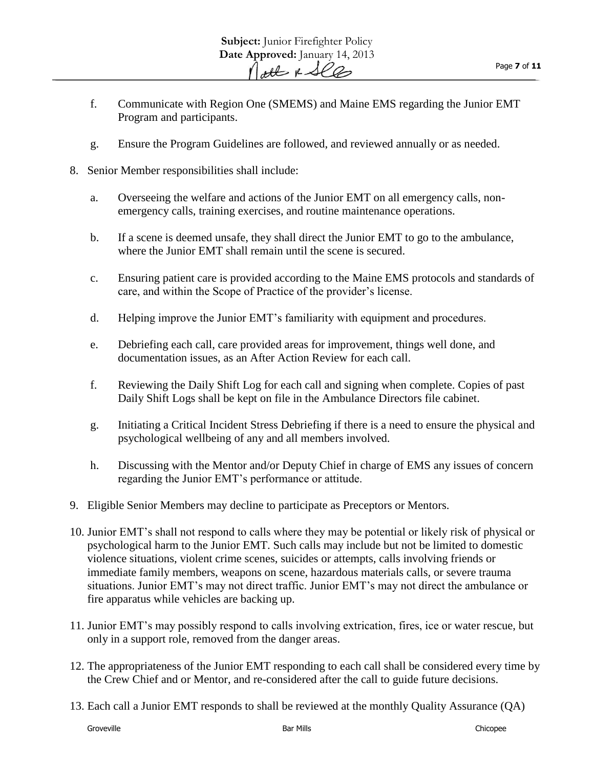- f. Communicate with Region One (SMEMS) and Maine EMS regarding the Junior EMT Program and participants.
- g. Ensure the Program Guidelines are followed, and reviewed annually or as needed.
- 8. Senior Member responsibilities shall include:
	- a. Overseeing the welfare and actions of the Junior EMT on all emergency calls, nonemergency calls, training exercises, and routine maintenance operations.
	- b. If a scene is deemed unsafe, they shall direct the Junior EMT to go to the ambulance, where the Junior EMT shall remain until the scene is secured.
	- c. Ensuring patient care is provided according to the Maine EMS protocols and standards of care, and within the Scope of Practice of the provider's license.
	- d. Helping improve the Junior EMT's familiarity with equipment and procedures.
	- e. Debriefing each call, care provided areas for improvement, things well done, and documentation issues, as an After Action Review for each call.
	- f. Reviewing the Daily Shift Log for each call and signing when complete. Copies of past Daily Shift Logs shall be kept on file in the Ambulance Directors file cabinet.
	- g. Initiating a Critical Incident Stress Debriefing if there is a need to ensure the physical and psychological wellbeing of any and all members involved.
	- h. Discussing with the Mentor and/or Deputy Chief in charge of EMS any issues of concern regarding the Junior EMT's performance or attitude.
- 9. Eligible Senior Members may decline to participate as Preceptors or Mentors.
- 10. Junior EMT's shall not respond to calls where they may be potential or likely risk of physical or psychological harm to the Junior EMT. Such calls may include but not be limited to domestic violence situations, violent crime scenes, suicides or attempts, calls involving friends or immediate family members, weapons on scene, hazardous materials calls, or severe trauma situations. Junior EMT's may not direct traffic. Junior EMT's may not direct the ambulance or fire apparatus while vehicles are backing up.
- 11. Junior EMT's may possibly respond to calls involving extrication, fires, ice or water rescue, but only in a support role, removed from the danger areas.
- 12. The appropriateness of the Junior EMT responding to each call shall be considered every time by the Crew Chief and or Mentor, and re-considered after the call to guide future decisions.
- 13. Each call a Junior EMT responds to shall be reviewed at the monthly Quality Assurance (QA)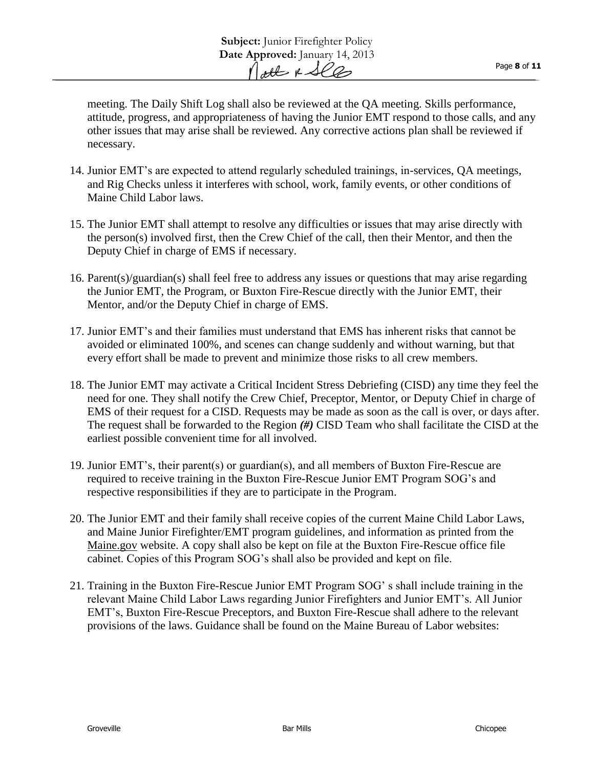meeting. The Daily Shift Log shall also be reviewed at the QA meeting. Skills performance, attitude, progress, and appropriateness of having the Junior EMT respond to those calls, and any other issues that may arise shall be reviewed. Any corrective actions plan shall be reviewed if necessary.

- 14. Junior EMT's are expected to attend regularly scheduled trainings, in-services, QA meetings, and Rig Checks unless it interferes with school, work, family events, or other conditions of Maine Child Labor laws.
- 15. The Junior EMT shall attempt to resolve any difficulties or issues that may arise directly with the person(s) involved first, then the Crew Chief of the call, then their Mentor, and then the Deputy Chief in charge of EMS if necessary.
- 16. Parent(s)/guardian(s) shall feel free to address any issues or questions that may arise regarding the Junior EMT, the Program, or Buxton Fire-Rescue directly with the Junior EMT, their Mentor, and/or the Deputy Chief in charge of EMS.
- 17. Junior EMT's and their families must understand that EMS has inherent risks that cannot be avoided or eliminated 100%, and scenes can change suddenly and without warning, but that every effort shall be made to prevent and minimize those risks to all crew members.
- 18. The Junior EMT may activate a Critical Incident Stress Debriefing (CISD) any time they feel the need for one. They shall notify the Crew Chief, Preceptor, Mentor, or Deputy Chief in charge of EMS of their request for a CISD. Requests may be made as soon as the call is over, or days after. The request shall be forwarded to the Region *(#)* CISD Team who shall facilitate the CISD at the earliest possible convenient time for all involved.
- 19. Junior EMT's, their parent(s) or guardian(s), and all members of Buxton Fire-Rescue are required to receive training in the Buxton Fire-Rescue Junior EMT Program SOG's and respective responsibilities if they are to participate in the Program.
- 20. The Junior EMT and their family shall receive copies of the current Maine Child Labor Laws, and Maine Junior Firefighter/EMT program guidelines, and information as printed from the Maine.gov website. A copy shall also be kept on file at the Buxton Fire-Rescue office file cabinet. Copies of this Program SOG's shall also be provided and kept on file.
- 21. Training in the Buxton Fire-Rescue Junior EMT Program SOG' s shall include training in the relevant Maine Child Labor Laws regarding Junior Firefighters and Junior EMT's. All Junior EMT's, Buxton Fire-Rescue Preceptors, and Buxton Fire-Rescue shall adhere to the relevant provisions of the laws. Guidance shall be found on the Maine Bureau of Labor websites: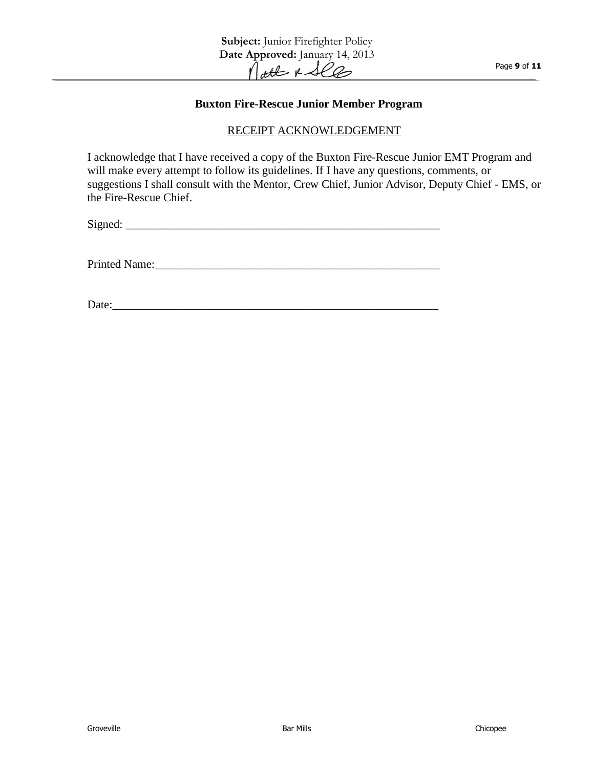#### **Buxton Fire-Rescue Junior Member Program**

#### RECEIPT ACKNOWLEDGEMENT

I acknowledge that I have received a copy of the Buxton Fire-Rescue Junior EMT Program and will make every attempt to follow its guidelines. If I have any questions, comments, or suggestions I shall consult with the Mentor, Crew Chief, Junior Advisor, Deputy Chief - EMS, or the Fire-Rescue Chief.

Signed:

Printed Name:\_\_\_\_\_\_\_\_\_\_\_\_\_\_\_\_\_\_\_\_\_\_\_\_\_\_\_\_\_\_\_\_\_\_\_\_\_\_\_\_\_\_\_\_\_\_\_\_\_

Date: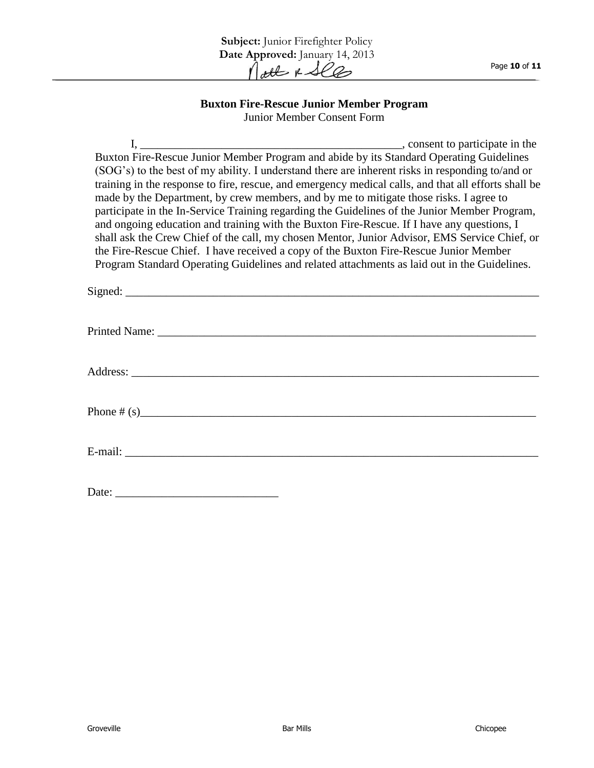#### **Buxton Fire-Rescue Junior Member Program** Junior Member Consent Form

I, \_\_\_\_\_\_\_\_\_\_\_\_\_\_\_\_\_\_\_\_\_\_\_\_\_\_\_\_\_\_\_\_\_\_\_\_\_\_\_\_\_\_\_\_\_, consent to participate in the Buxton Fire-Rescue Junior Member Program and abide by its Standard Operating Guidelines (SOG's) to the best of my ability. I understand there are inherent risks in responding to/and or training in the response to fire, rescue, and emergency medical calls, and that all efforts shall be made by the Department, by crew members, and by me to mitigate those risks. I agree to participate in the In-Service Training regarding the Guidelines of the Junior Member Program, and ongoing education and training with the Buxton Fire-Rescue. If I have any questions, I shall ask the Crew Chief of the call, my chosen Mentor, Junior Advisor, EMS Service Chief, or the Fire-Rescue Chief. I have received a copy of the Buxton Fire-Rescue Junior Member Program Standard Operating Guidelines and related attachments as laid out in the Guidelines. Signed: \_\_\_\_\_\_\_\_\_\_\_\_\_\_\_\_\_\_\_\_\_\_\_\_\_\_\_\_\_\_\_\_\_\_\_\_\_\_\_\_\_\_\_\_\_\_\_\_\_\_\_\_\_\_\_\_\_\_\_\_\_\_\_\_\_\_\_\_\_\_\_ Printed Name: Address: \_\_\_\_\_\_\_\_\_\_\_\_\_\_\_\_\_\_\_\_\_\_\_\_\_\_\_\_\_\_\_\_\_\_\_\_\_\_\_\_\_\_\_\_\_\_\_\_\_\_\_\_\_\_\_\_\_\_\_\_\_\_\_\_\_\_\_\_\_\_ Phone  $\#(s)$ E-mail: \_\_\_\_\_\_\_\_\_\_\_\_\_\_\_\_\_\_\_\_\_\_\_\_\_\_\_\_\_\_\_\_\_\_\_\_\_\_\_\_\_\_\_\_\_\_\_\_\_\_\_\_\_\_\_\_\_\_\_\_\_\_\_\_\_\_\_\_\_\_\_ Date: \_\_\_\_\_\_\_\_\_\_\_\_\_\_\_\_\_\_\_\_\_\_\_\_\_\_\_\_